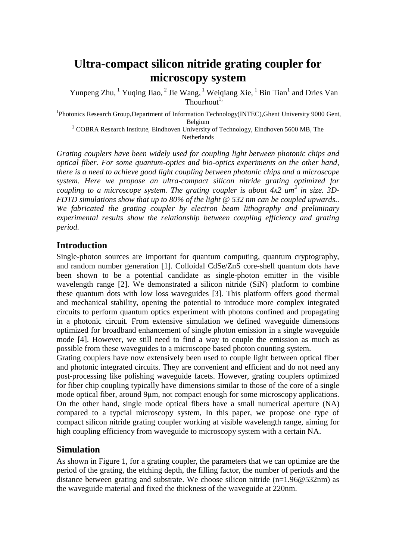# **Ultra-compact silicon nitride grating coupler for microscopy system**

Yunpeng Zhu, <sup>1</sup> Yuqing Jiao, <sup>2</sup> Jie Wang, <sup>1</sup> Weiqiang Xie, <sup>1</sup> Bin Tian<sup>1</sup> and Dries Van Thourhout<sup>1,</sup>

<sup>1</sup>Photonics Research Group, Department of Information Technology(INTEC), Ghent University 9000 Gent, Belgium

<sup>2</sup> COBRA Research Institute, Eindhoven University of Technology, Eindhoven 5600 MB, The Netherlands

*Grating couplers have been widely used for coupling light between photonic chips and optical fiber. For some quantum-optics and bio-optics experiments on the other hand, there is a need to achieve good light coupling between photonic chips and a microscope system. Here we propose an ultra-compact silicon nitride grating optimized for coupling to a microscope system. The grating coupler is about 4x2 um<sup>2</sup> in size. 3D-FDTD simulations show that up to 80% of the light @ 532 nm can be coupled upwards.. We fabricated the grating coupler by electron beam lithography and preliminary experimental results show the relationship between coupling efficiency and grating period.*

# **Introduction**

Single-photon sources are important for quantum computing, quantum cryptography, and random number generation [1]. Colloidal CdSe/ZnS core-shell quantum dots have been shown to be a potential candidate as single-photon emitter in the visible wavelength range [2]. We demonstrated a silicon nitride (SiN) platform to combine these quantum dots with low loss waveguides [3]. This platform offers good thermal and mechanical stability, opening the potential to introduce more complex integrated circuits to perform quantum optics experiment with photons confined and propagating in a photonic circuit. From extensive simulation we defined waveguide dimensions optimized for broadband enhancement of single photon emission in a single waveguide mode [4]. However, we still need to find a way to couple the emission as much as possible from these waveguides to a microscope based photon counting system.

Grating couplers have now extensively been used to couple light between optical fiber and photonic integrated circuits. They are convenient and efficient and do not need any post-processing like polishing waveguide facets. However, grating couplers optimized for fiber chip coupling typically have dimensions similar to those of the core of a single mode optical fiber, around 9μm, not compact enough for some microscopy applications. On the other hand, single mode optical fibers have a small numerical aperture (NA) compared to a typcial microscopy system, In this paper, we propose one type of compact silicon nitride grating coupler working at visible wavelength range, aiming for high coupling efficiency from waveguide to microscopy system with a certain NA.

# **Simulation**

As shown in Figure 1, for a grating coupler, the parameters that we can optimize are the period of the grating, the etching depth, the filling factor, the number of periods and the distance between grating and substrate. We choose silicon nitride  $(n=1.96@532nm)$  as the waveguide material and fixed the thickness of the waveguide at 220nm.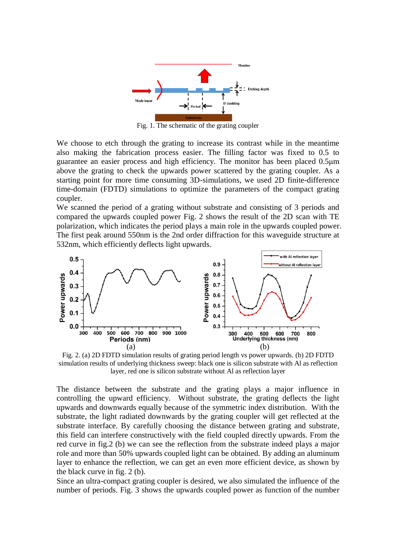

Fig. 1. The schematic of the grating coupler

We choose to etch through the grating to increase its contrast while in the meantime also making the fabrication process easier. The filling factor was fixed to 0.5 to guarantee an easier process and high efficiency. The monitor has been placed 0.5μm above the grating to check the upwards power scattered by the grating coupler. As a starting point for more time consuming 3D-simulations, we used 2D finite-difference time-domain (FDTD) simulations to optimize the parameters of the compact grating coupler.

We scanned the period of a grating without substrate and consisting of 3 periods and compared the upwards coupled power Fig. 2 shows the result of the 2D scan with TE polarization, which indicates the period plays a main role in the upwards coupled power. The first peak around 550nm is the 2nd order diffraction for this waveguide structure at 532nm, which efficiently deflects light upwards.



Fig. 2. (a) 2D FDTD simulation results of grating period length vs power upwards. (b) 2D FDTD simulation results of underlying thickness sweep: black one is silicon substrate with Al as reflection layer, red one is silicon substrate without Al as reflection layer

The distance between the substrate and the grating plays a major influence in controlling the upward efficiency. Without substrate, the grating deflects the light upwards and downwards equally because of the symmetric index distribution. With the substrate, the light radiated downwards by the grating coupler will get reflected at the substrate interface. By carefully choosing the distance between grating and substrate, this field can interfere constructively with the field coupled directly upwards. From the red curve in fig.2 (b) we can see the reflection from the substrate indeed plays a major role and more than 50% upwards coupled light can be obtained. By adding an aluminum layer to enhance the reflection, we can get an even more efficient device, as shown by the black curve in fig. 2 (b).

Since an ultra-compact grating coupler is desired, we also simulated the influence of the number of periods. Fig. 3 shows the upwards coupled power as function of the number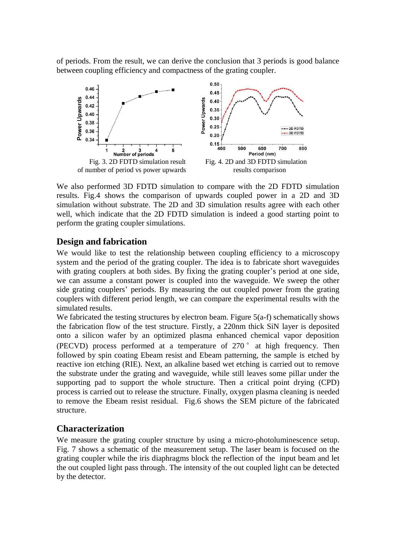of periods. From the result, we can derive the conclusion that 3 periods is good balance between coupling efficiency and compactness of the grating coupler.



We also performed 3D FDTD simulation to compare with the 2D FDTD simulation results. Fig.4 shows the comparison of upwards coupled power in a 2D and 3D simulation without substrate. The 2D and 3D simulation results agree with each other well, which indicate that the 2D FDTD simulation is indeed a good starting point to perform the grating coupler simulations.

# **Design and fabrication**

We would like to test the relationship between coupling efficiency to a microscopy system and the period of the grating coupler. The idea is to fabricate short waveguides with grating couplers at both sides. By fixing the grating coupler's period at one side, we can assume a constant power is coupled into the waveguide. We sweep the other side grating couplers' periods. By measuring the out coupled power from the grating couplers with different period length, we can compare the experimental results with the simulated results.

We fabricated the testing structures by electron beam. Figure 5(a-f) schematically shows the fabrication flow of the test structure. Firstly, a 220nm thick SiN layer is deposited onto a silicon wafer by an optimized plasma enhanced chemical vapor deposition (PECVD) process performed at a temperature of 270 ° at high frequency. Then followed by spin coating Ebeam resist and Ebeam patterning, the sample is etched by reactive ion etching (RIE). Next, an alkaline based wet etching is carried out to remove the substrate under the grating and waveguide, while still leaves some pillar under the supporting pad to support the whole structure. Then a critical point drying (CPD) process is carried out to release the structure. Finally, oxygen plasma cleaning is needed to remove the Ebeam resist residual. Fig.6 shows the SEM picture of the fabricated structure.

#### **Characterization**

We measure the grating coupler structure by using a micro-photoluminescence setup. Fig. 7 shows a schematic of the measurement setup. The laser beam is focused on the grating coupler while the iris diaphragms block the reflection of the input beam and let the out coupled light pass through. The intensity of the out coupled light can be detected by the detector.